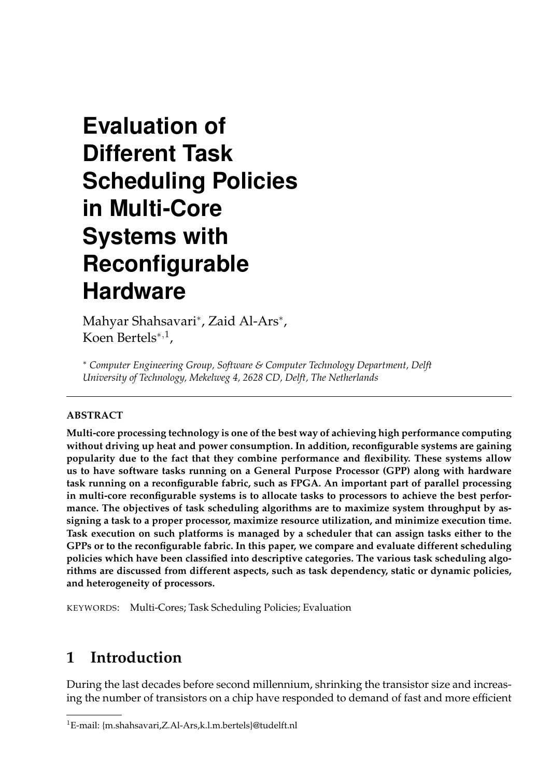# **Evaluation of Different Task Scheduling Policies in Multi-Core Systems with Reconfigurable Hardware**

Mahyar Shahsavari<sup>∗</sup> , Zaid Al-Ars<sup>∗</sup> , Koen Bertels<sup>∗</sup>,<sup>1</sup> ,

<sup>∗</sup> *Computer Engineering Group, Software & Computer Technology Department, Delft University of Technology, Mekelweg 4, 2628 CD, Delft, The Netherlands*

#### **ABSTRACT**

**Multi-core processing technology is one of the best way of achieving high performance computing without driving up heat and power consumption. In addition, reconfigurable systems are gaining popularity due to the fact that they combine performance and flexibility. These systems allow us to have software tasks running on a General Purpose Processor (GPP) along with hardware task running on a reconfigurable fabric, such as FPGA. An important part of parallel processing in multi-core reconfigurable systems is to allocate tasks to processors to achieve the best performance. The objectives of task scheduling algorithms are to maximize system throughput by assigning a task to a proper processor, maximize resource utilization, and minimize execution time. Task execution on such platforms is managed by a scheduler that can assign tasks either to the GPPs or to the reconfigurable fabric. In this paper, we compare and evaluate different scheduling policies which have been classified into descriptive categories. The various task scheduling algorithms are discussed from different aspects, such as task dependency, static or dynamic policies, and heterogeneity of processors.**

KEYWORDS: Multi-Cores; Task Scheduling Policies; Evaluation

# **1 Introduction**

During the last decades before second millennium, shrinking the transistor size and increasing the number of transistors on a chip have responded to demand of fast and more efficient

<sup>1</sup>E-mail: {m.shahsavari,Z.Al-Ars,k.l.m.bertels}@tudelft.nl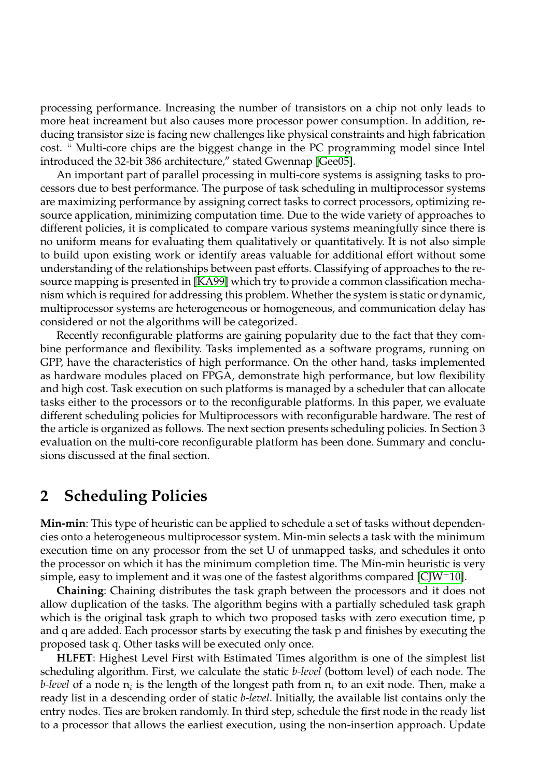processing performance. Increasing the number of transistors on a chip not only leads to more heat increament but also causes more processor power consumption. In addition, reducing transistor size is facing new challenges like physical constraints and high fabrication cost. " Multi-core chips are the biggest change in the PC programming model since Intel introduced the 32-bit 386 architecture," stated Gwennap [\[Gee05\]](#page-4-0).

An important part of parallel processing in multi-core systems is assigning tasks to processors due to best performance. The purpose of task scheduling in multiprocessor systems are maximizing performance by assigning correct tasks to correct processors, optimizing resource application, minimizing computation time. Due to the wide variety of approaches to different policies, it is complicated to compare various systems meaningfully since there is no uniform means for evaluating them qualitatively or quantitatively. It is not also simple to build upon existing work or identify areas valuable for additional effort without some understanding of the relationships between past efforts. Classifying of approaches to the resource mapping is presented in [\[KA99\]](#page-4-1) which try to provide a common classification mechanism which is required for addressing this problem. Whether the system is static or dynamic, multiprocessor systems are heterogeneous or homogeneous, and communication delay has considered or not the algorithms will be categorized.

Recently reconfigurable platforms are gaining popularity due to the fact that they combine performance and flexibility. Tasks implemented as a software programs, running on GPP, have the characteristics of high performance. On the other hand, tasks implemented as hardware modules placed on FPGA, demonstrate high performance, but low flexibility and high cost. Task execution on such platforms is managed by a scheduler that can allocate tasks either to the processors or to the reconfigurable platforms. In this paper, we evaluate different scheduling policies for Multiprocessors with reconfigurable hardware. The rest of the article is organized as follows. The next section presents scheduling policies. In Section 3 evaluation on the multi-core reconfigurable platform has been done. Summary and conclusions discussed at the final section.

#### **2 Scheduling Policies**

**Min-min**: This type of heuristic can be applied to schedule a set of tasks without dependencies onto a heterogeneous multiprocessor system. Min-min selects a task with the minimum execution time on any processor from the set U of unmapped tasks, and schedules it onto the processor on which it has the minimum completion time. The Min-min heuristic is very simple, easy to implement and it was one of the fastest algorithms compared [\[CJW](#page-4-2)+10].

**Chaining**: Chaining distributes the task graph between the processors and it does not allow duplication of the tasks. The algorithm begins with a partially scheduled task graph which is the original task graph to which two proposed tasks with zero execution time, p and q are added. Each processor starts by executing the task p and finishes by executing the proposed task q. Other tasks will be executed only once.

**HLFET**: Highest Level First with Estimated Times algorithm is one of the simplest list scheduling algorithm. First, we calculate the static *b-level* (bottom level) of each node. The *b-level* of a node  $\mathsf{n}_i$  is the length of the longest path from  $\mathsf{n}_i$  to an exit node. Then, make a ready list in a descending order of static *b-level*. Initially, the available list contains only the entry nodes. Ties are broken randomly. In third step, schedule the first node in the ready list to a processor that allows the earliest execution, using the non-insertion approach. Update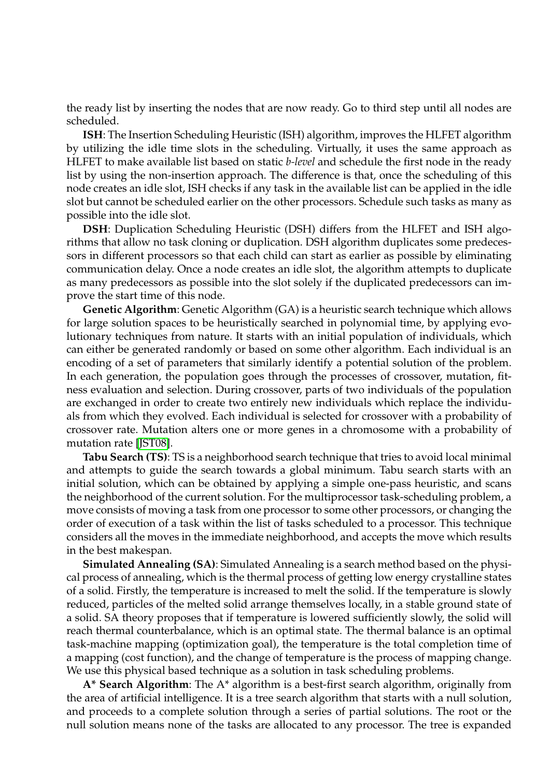the ready list by inserting the nodes that are now ready. Go to third step until all nodes are scheduled.

**ISH**: The Insertion Scheduling Heuristic (ISH) algorithm, improves the HLFET algorithm by utilizing the idle time slots in the scheduling. Virtually, it uses the same approach as HLFET to make available list based on static *b-level* and schedule the first node in the ready list by using the non-insertion approach. The difference is that, once the scheduling of this node creates an idle slot, ISH checks if any task in the available list can be applied in the idle slot but cannot be scheduled earlier on the other processors. Schedule such tasks as many as possible into the idle slot.

**DSH**: Duplication Scheduling Heuristic (DSH) differs from the HLFET and ISH algorithms that allow no task cloning or duplication. DSH algorithm duplicates some predecessors in different processors so that each child can start as earlier as possible by eliminating communication delay. Once a node creates an idle slot, the algorithm attempts to duplicate as many predecessors as possible into the slot solely if the duplicated predecessors can improve the start time of this node.

**Genetic Algorithm**: Genetic Algorithm (GA) is a heuristic search technique which allows for large solution spaces to be heuristically searched in polynomial time, by applying evolutionary techniques from nature. It starts with an initial population of individuals, which can either be generated randomly or based on some other algorithm. Each individual is an encoding of a set of parameters that similarly identify a potential solution of the problem. In each generation, the population goes through the processes of crossover, mutation, fitness evaluation and selection. During crossover, parts of two individuals of the population are exchanged in order to create two entirely new individuals which replace the individuals from which they evolved. Each individual is selected for crossover with a probability of crossover rate. Mutation alters one or more genes in a chromosome with a probability of mutation rate [\[JST08\]](#page-4-3).

**Tabu Search (TS)**: TS is a neighborhood search technique that tries to avoid local minimal and attempts to guide the search towards a global minimum. Tabu search starts with an initial solution, which can be obtained by applying a simple one-pass heuristic, and scans the neighborhood of the current solution. For the multiprocessor task-scheduling problem, a move consists of moving a task from one processor to some other processors, or changing the order of execution of a task within the list of tasks scheduled to a processor. This technique considers all the moves in the immediate neighborhood, and accepts the move which results in the best makespan.

**Simulated Annealing (SA)**: Simulated Annealing is a search method based on the physical process of annealing, which is the thermal process of getting low energy crystalline states of a solid. Firstly, the temperature is increased to melt the solid. If the temperature is slowly reduced, particles of the melted solid arrange themselves locally, in a stable ground state of a solid. SA theory proposes that if temperature is lowered sufficiently slowly, the solid will reach thermal counterbalance, which is an optimal state. The thermal balance is an optimal task-machine mapping (optimization goal), the temperature is the total completion time of a mapping (cost function), and the change of temperature is the process of mapping change. We use this physical based technique as a solution in task scheduling problems.

**A\* Search Algorithm**: The A\* algorithm is a best-first search algorithm, originally from the area of artificial intelligence. It is a tree search algorithm that starts with a null solution, and proceeds to a complete solution through a series of partial solutions. The root or the null solution means none of the tasks are allocated to any processor. The tree is expanded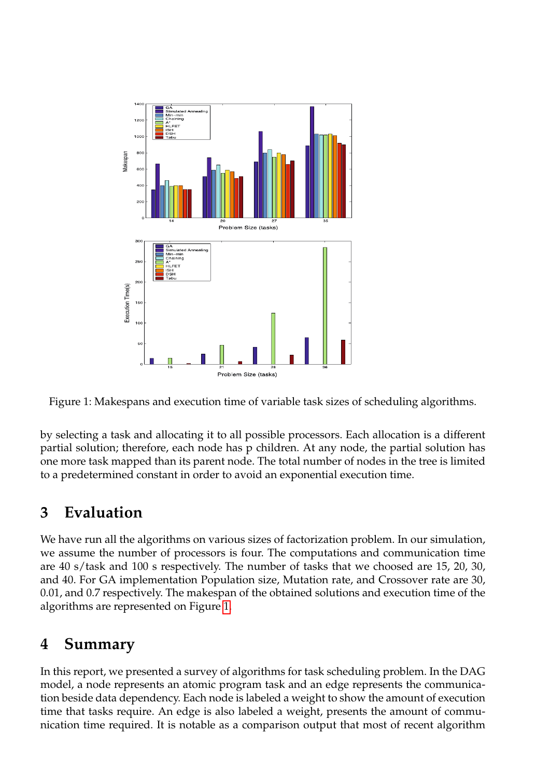

<span id="page-3-0"></span>Figure 1: Makespans and execution time of variable task sizes of scheduling algorithms.

by selecting a task and allocating it to all possible processors. Each allocation is a different partial solution; therefore, each node has p children. At any node, the partial solution has one more task mapped than its parent node. The total number of nodes in the tree is limited to a predetermined constant in order to avoid an exponential execution time.

# **3 Evaluation**

We have run all the algorithms on various sizes of factorization problem. In our simulation, we assume the number of processors is four. The computations and communication time are 40 s/task and 100 s respectively. The number of tasks that we choosed are 15, 20, 30, and 40. For GA implementation Population size, Mutation rate, and Crossover rate are 30, 0.01, and 0.7 respectively. The makespan of the obtained solutions and execution time of the algorithms are represented on Figure [1.](#page-3-0)

# **4 Summary**

In this report, we presented a survey of algorithms for task scheduling problem. In the DAG model, a node represents an atomic program task and an edge represents the communication beside data dependency. Each node is labeled a weight to show the amount of execution time that tasks require. An edge is also labeled a weight, presents the amount of communication time required. It is notable as a comparison output that most of recent algorithm